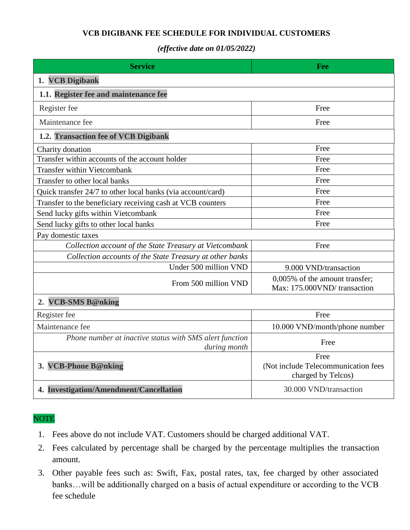## **VCB DIGIBANK FEE SCHEDULE FOR INDIVIDUAL CUSTOMERS**

## *(effective date on 01/05/2022)*

| <b>Service</b>                                                          | Fee                                                               |
|-------------------------------------------------------------------------|-------------------------------------------------------------------|
| 1. VCB Digibank                                                         |                                                                   |
| 1.1. Register fee and maintenance fee                                   |                                                                   |
| Register fee                                                            | Free                                                              |
| Maintenance fee                                                         | Free                                                              |
| 1.2. Transaction fee of VCB Digibank                                    |                                                                   |
| Charity donation                                                        | Free                                                              |
| Transfer within accounts of the account holder                          | Free                                                              |
| <b>Transfer within Vietcombank</b>                                      | Free                                                              |
| Transfer to other local banks                                           | Free                                                              |
| Quick transfer 24/7 to other local banks (via account/card)             | Free                                                              |
| Transfer to the beneficiary receiving cash at VCB counters              | Free                                                              |
| Send lucky gifts within Vietcombank                                     | Free                                                              |
| Send lucky gifts to other local banks                                   | Free                                                              |
| Pay domestic taxes                                                      |                                                                   |
| Collection account of the State Treasury at Vietcombank                 | Free                                                              |
| Collection accounts of the State Treasury at other banks                |                                                                   |
| Under 500 million VND                                                   | 9.000 VND/transaction                                             |
| From 500 million VND                                                    | 0,005% of the amount transfer;<br>Max: 175.000VND/transaction     |
| 2. VCB-SMS B@nking                                                      |                                                                   |
| Register fee                                                            | Free                                                              |
| Maintenance fee                                                         | 10.000 VND/month/phone number                                     |
| Phone number at inactive status with SMS alert function<br>during month | Free                                                              |
| 3. VCB-Phone B@nking                                                    | Free<br>(Not include Telecommunication fees<br>charged by Telcos) |
| 4. Investigation/Amendment/Cancellation                                 | 30.000 VND/transaction                                            |

## **NOTE**

- 1. Fees above do not include VAT. Customers should be charged additional VAT.
- 2. Fees calculated by percentage shall be charged by the percentage multiplies the transaction amount.
- 3. Other payable fees such as: Swift, Fax, postal rates, tax, fee charged by other associated banks…will be additionally charged on a basis of actual expenditure or according to the VCB fee schedule